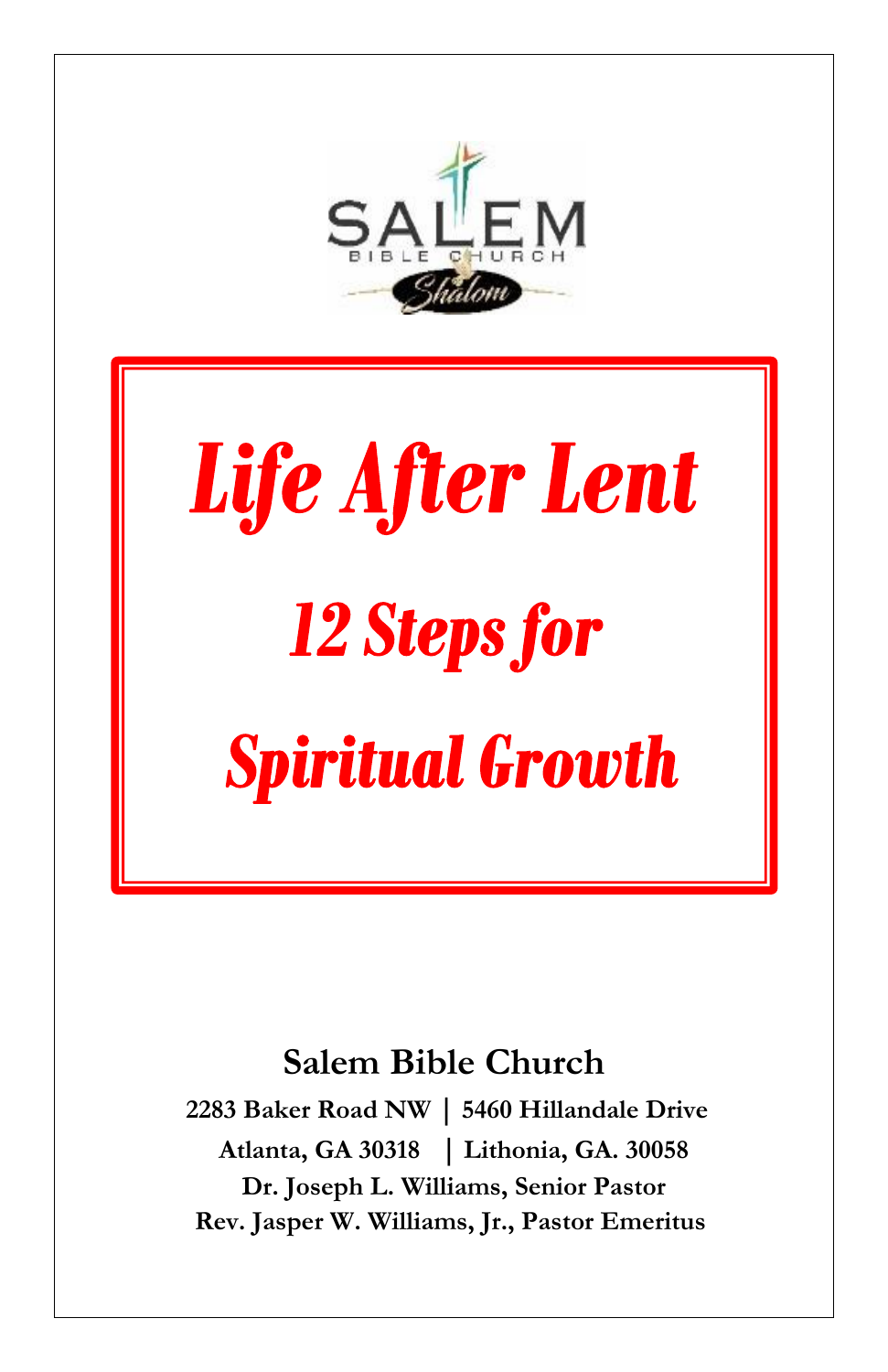

## Life After Lent 12 Steps for **Spiritual Growth**

## **Salem Bible Church**

**2283 Baker Road NW | 5460 Hillandale Drive Atlanta, GA 30318 | Lithonia, GA. 30058 Dr. Joseph L. Williams, Senior Pastor Rev. Jasper W. Williams, Jr., Pastor Emeritus**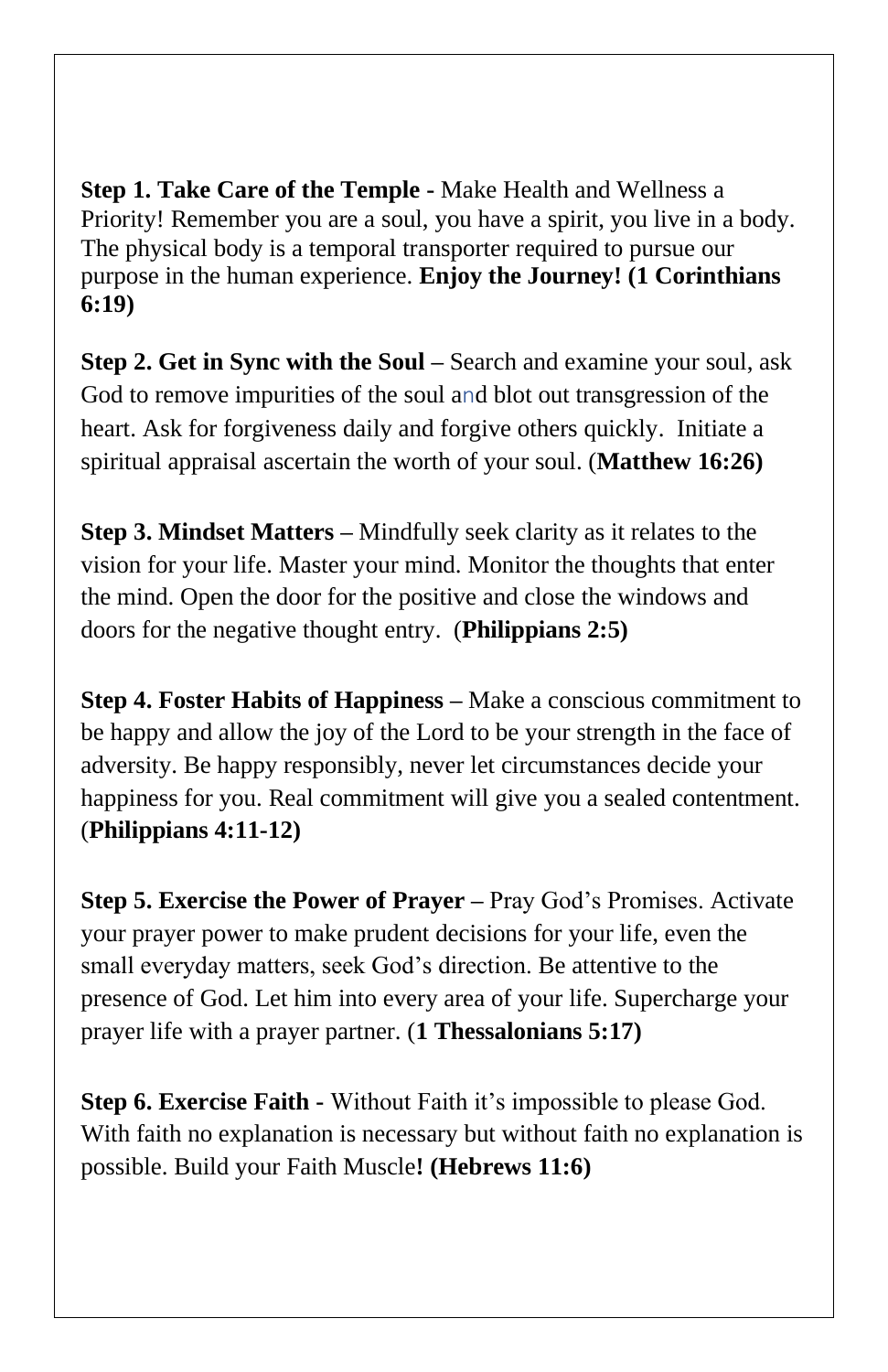**Step 1. Take Care of the Temple -** Make Health and Wellness a Priority! Remember you are a soul, you have a spirit, you live in a body. The physical body is a temporal transporter required to pursue our purpose in the human experience. **Enjoy the Journey! (1 Corinthians 6:19)**

**Step 2. Get in Sync with the Soul –** Search and examine your soul, ask God to remove impurities of the soul and blot out transgression of the heart. Ask for forgiveness daily and forgive others quickly. Initiate a spiritual appraisal ascertain the worth of your soul. (**Matthew 16:26)**

**Step 3. Mindset Matters –** Mindfully seek clarity as it relates to the vision for your life. Master your mind. Monitor the thoughts that enter the mind. Open the door for the positive and close the windows and doors for the negative thought entry. (**Philippians 2:5)**

**Step 4. Foster Habits of Happiness –** Make a conscious commitment to be happy and allow the joy of the Lord to be your strength in the face of adversity. Be happy responsibly, never let circumstances decide your happiness for you. Real commitment will give you a sealed contentment. (**Philippians 4:11-12)**

**Step 5. Exercise the Power of Prayer –** Pray God's Promises. Activate your prayer power to make prudent decisions for your life, even the small everyday matters, seek God's direction. Be attentive to the presence of God. Let him into every area of your life. Supercharge your prayer life with a prayer partner. (**1 Thessalonians 5:17)**

**Step 6. Exercise Faith -** Without Faith it's impossible to please God. With faith no explanation is necessary but without faith no explanation is possible. Build your Faith Muscle**! (Hebrews 11:6)**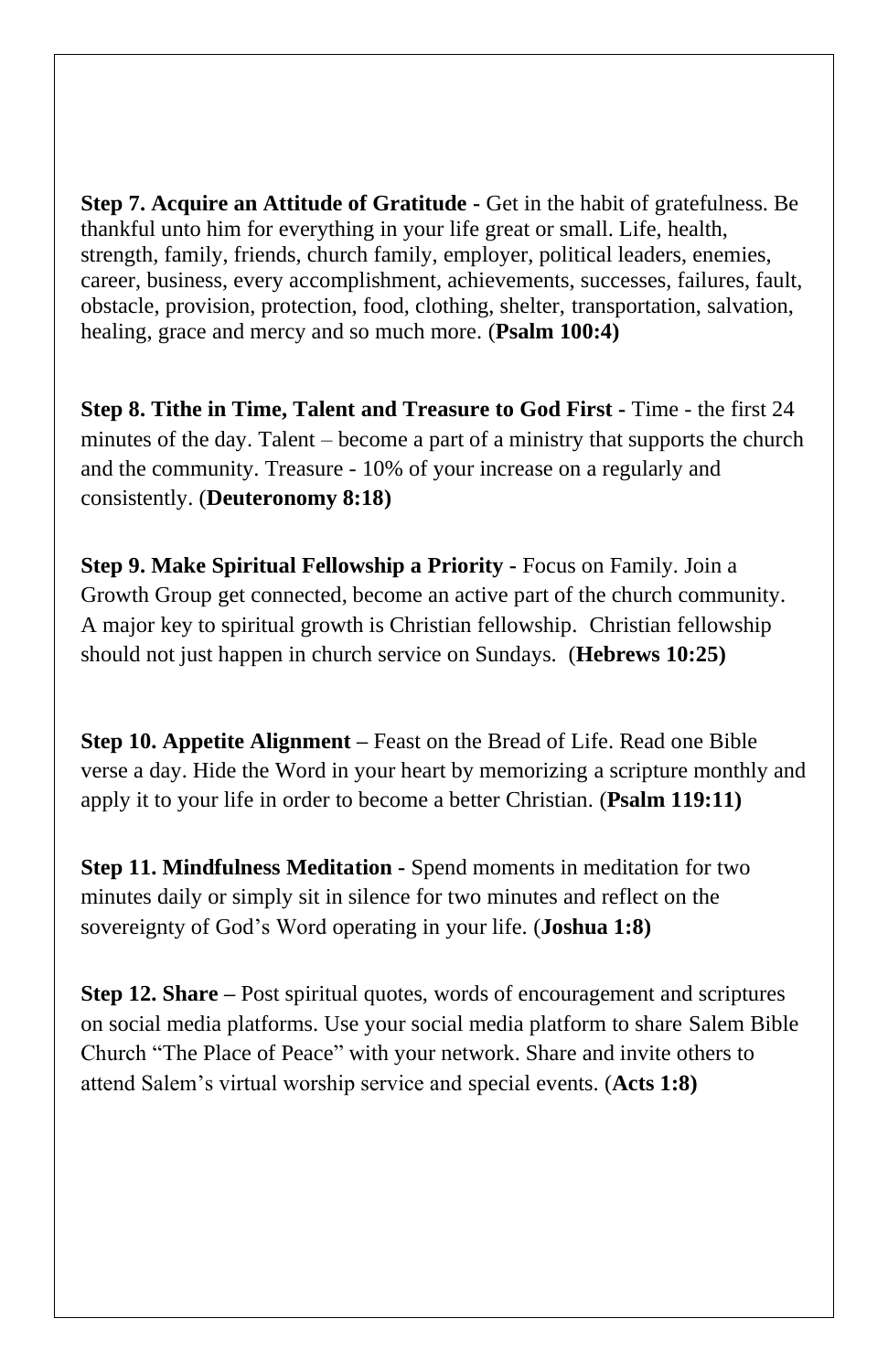**Step 7. Acquire an Attitude of Gratitude -** Get in the habit of gratefulness. Be thankful unto him for everything in your life great or small. Life, health, strength, family, friends, church family, employer, political leaders, enemies, career, business, every accomplishment, achievements, successes, failures, fault, obstacle, provision, protection, food, clothing, shelter, transportation, salvation, healing, grace and mercy and so much more. (**Psalm 100:4)**

**Step 8. Tithe in Time, Talent and Treasure to God First -** Time - the first 24 minutes of the day. Talent – become a part of a ministry that supports the church and the community. Treasure - 10% of your increase on a regularly and consistently. (**Deuteronomy 8:18)**

**Step 9. Make Spiritual Fellowship a Priority -** Focus on Family. Join a Growth Group get connected, become an active part of the church community. A major key to spiritual growth is Christian fellowship. Christian fellowship should not just happen in church service on Sundays. (**Hebrews 10:25)** 

**Step 10. Appetite Alignment –** Feast on the Bread of Life. Read one Bible verse a day. Hide the Word in your heart by memorizing a scripture monthly and apply it to your life in order to become a better Christian. (**Psalm 119:11)**

**Step 11. Mindfulness Meditation -** Spend moments in meditation for two minutes daily or simply sit in silence for two minutes and reflect on the sovereignty of God's Word operating in your life. (**Joshua 1:8)**

**Step 12. Share –** Post spiritual quotes, words of encouragement and scriptures on social media platforms. Use your social media platform to share Salem Bible Church "The Place of Peace" with your network. Share and invite others to attend Salem's virtual worship service and special events. (**Acts 1:8)**